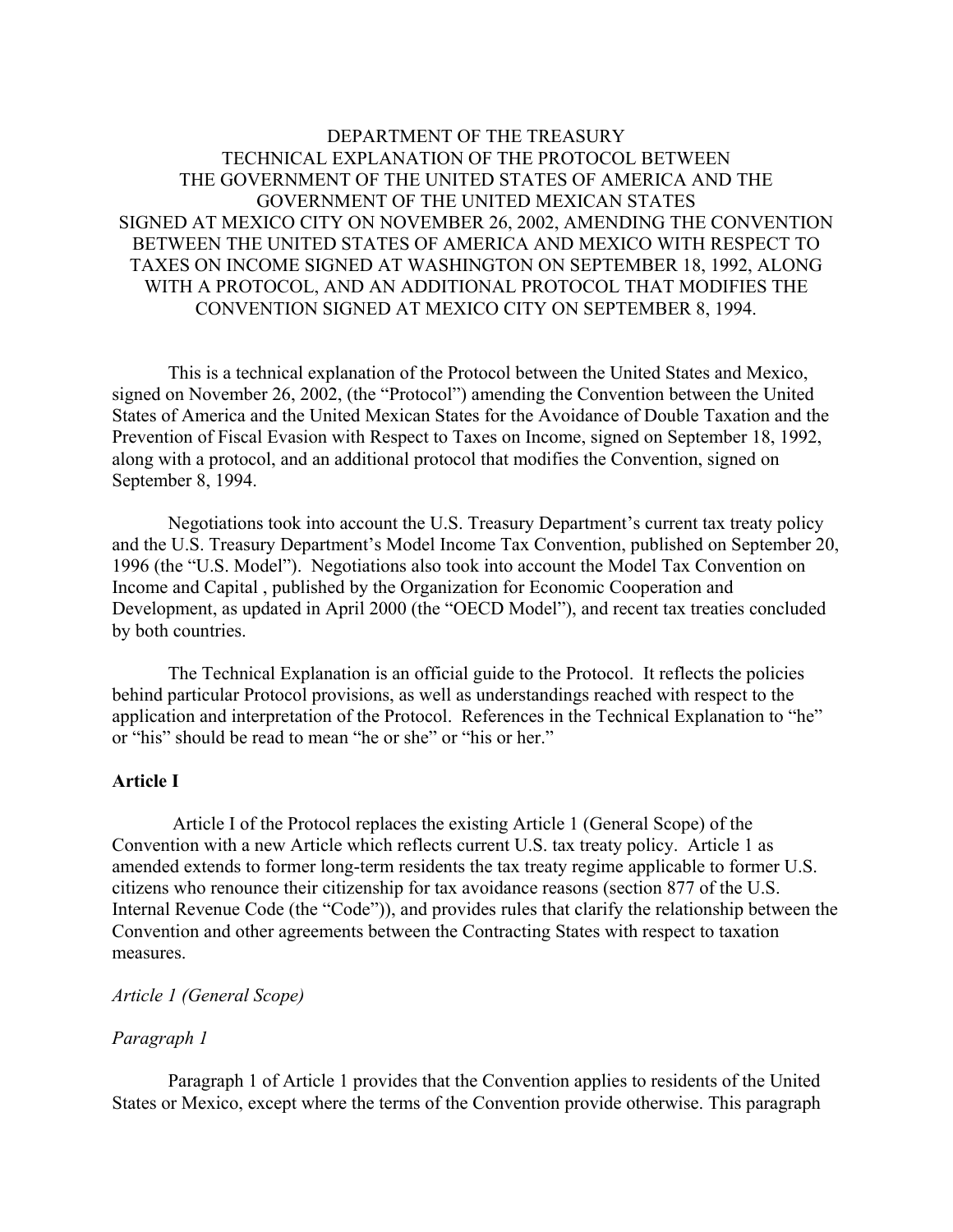# DEPARTMENT OF THE TREASURY TECHNICAL EXPLANATION OF THE PROTOCOL BETWEEN THE GOVERNMENT OF THE UNITED STATES OF AMERICA AND THE GOVERNMENT OF THE UNITED MEXICAN STATES SIGNED AT MEXICO CITY ON NOVEMBER 26, 2002, AMENDING THE CONVENTION BETWEEN THE UNITED STATES OF AMERICA AND MEXICO WITH RESPECT TO TAXES ON INCOME SIGNED AT WASHINGTON ON SEPTEMBER 18, 1992, ALONG WITH A PROTOCOL, AND AN ADDITIONAL PROTOCOL THAT MODIFIES THE CONVENTION SIGNED AT MEXICO CITY ON SEPTEMBER 8, 1994.

This is a technical explanation of the Protocol between the United States and Mexico, signed on November 26, 2002, (the "Protocol") amending the Convention between the United States of America and the United Mexican States for the Avoidance of Double Taxation and the Prevention of Fiscal Evasion with Respect to Taxes on Income, signed on September 18, 1992, along with a protocol, and an additional protocol that modifies the Convention, signed on September 8, 1994.

Negotiations took into account the U.S. Treasury Department's current tax treaty policy and the U.S. Treasury Department's Model Income Tax Convention, published on September 20, 1996 (the "U.S. Model"). Negotiations also took into account the Model Tax Convention on Income and Capital , published by the Organization for Economic Cooperation and Development, as updated in April 2000 (the "OECD Model"), and recent tax treaties concluded by both countries.

The Technical Explanation is an official guide to the Protocol. It reflects the policies behind particular Protocol provisions, as well as understandings reached with respect to the application and interpretation of the Protocol. References in the Technical Explanation to "he" or "his" should be read to mean "he or she" or "his or her."

# **Article I**

Article I of the Protocol replaces the existing Article 1 (General Scope) of the Convention with a new Article which reflects current U.S. tax treaty policy. Article 1 as amended extends to former long-term residents the tax treaty regime applicable to former U.S. citizens who renounce their citizenship for tax avoidance reasons (section 877 of the U.S. Internal Revenue Code (the "Code")), and provides rules that clarify the relationship between the Convention and other agreements between the Contracting States with respect to taxation measures.

## *Article 1 (General Scope)*

# *Paragraph 1*

Paragraph 1 of Article 1 provides that the Convention applies to residents of the United States or Mexico, except where the terms of the Convention provide otherwise. This paragraph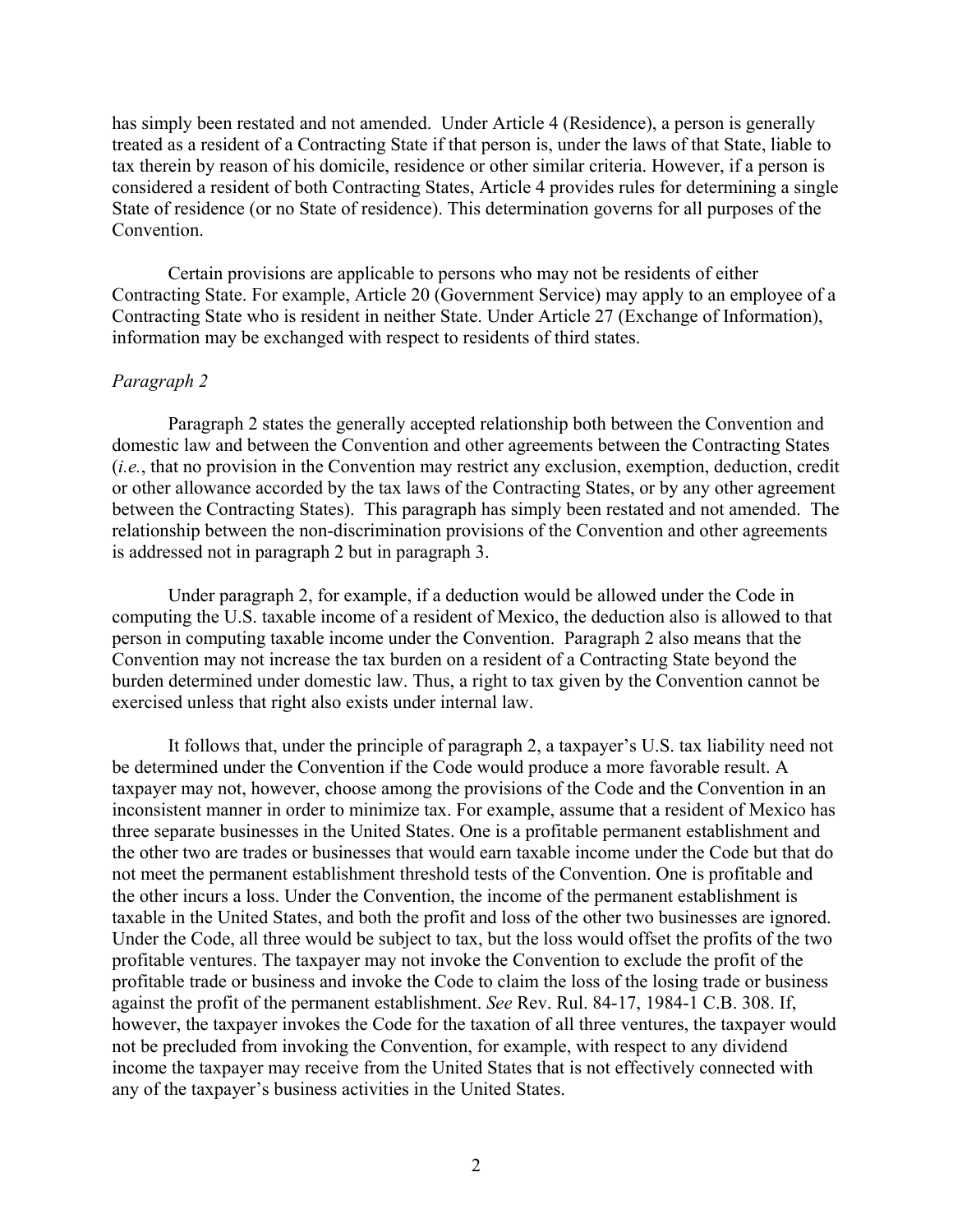has simply been restated and not amended. Under Article 4 (Residence), a person is generally treated as a resident of a Contracting State if that person is, under the laws of that State, liable to tax therein by reason of his domicile, residence or other similar criteria. However, if a person is considered a resident of both Contracting States, Article 4 provides rules for determining a single State of residence (or no State of residence). This determination governs for all purposes of the Convention.

Certain provisions are applicable to persons who may not be residents of either Contracting State. For example, Article 20 (Government Service) may apply to an employee of a Contracting State who is resident in neither State. Under Article 27 (Exchange of Information), information may be exchanged with respect to residents of third states.

### *Paragraph 2*

Paragraph 2 states the generally accepted relationship both between the Convention and domestic law and between the Convention and other agreements between the Contracting States (*i.e.*, that no provision in the Convention may restrict any exclusion, exemption, deduction, credit or other allowance accorded by the tax laws of the Contracting States, or by any other agreement between the Contracting States). This paragraph has simply been restated and not amended. The relationship between the non-discrimination provisions of the Convention and other agreements is addressed not in paragraph 2 but in paragraph 3.

Under paragraph 2, for example, if a deduction would be allowed under the Code in computing the U.S. taxable income of a resident of Mexico, the deduction also is allowed to that person in computing taxable income under the Convention. Paragraph 2 also means that the Convention may not increase the tax burden on a resident of a Contracting State beyond the burden determined under domestic law. Thus, a right to tax given by the Convention cannot be exercised unless that right also exists under internal law.

It follows that, under the principle of paragraph 2, a taxpayer's U.S. tax liability need not be determined under the Convention if the Code would produce a more favorable result. A taxpayer may not, however, choose among the provisions of the Code and the Convention in an inconsistent manner in order to minimize tax. For example, assume that a resident of Mexico has three separate businesses in the United States. One is a profitable permanent establishment and the other two are trades or businesses that would earn taxable income under the Code but that do not meet the permanent establishment threshold tests of the Convention. One is profitable and the other incurs a loss. Under the Convention, the income of the permanent establishment is taxable in the United States, and both the profit and loss of the other two businesses are ignored. Under the Code, all three would be subject to tax, but the loss would offset the profits of the two profitable ventures. The taxpayer may not invoke the Convention to exclude the profit of the profitable trade or business and invoke the Code to claim the loss of the losing trade or business against the profit of the permanent establishment. *See* Rev. Rul. 84-17, 1984-1 C.B. 308. If, however, the taxpayer invokes the Code for the taxation of all three ventures, the taxpayer would not be precluded from invoking the Convention, for example, with respect to any dividend income the taxpayer may receive from the United States that is not effectively connected with any of the taxpayer's business activities in the United States.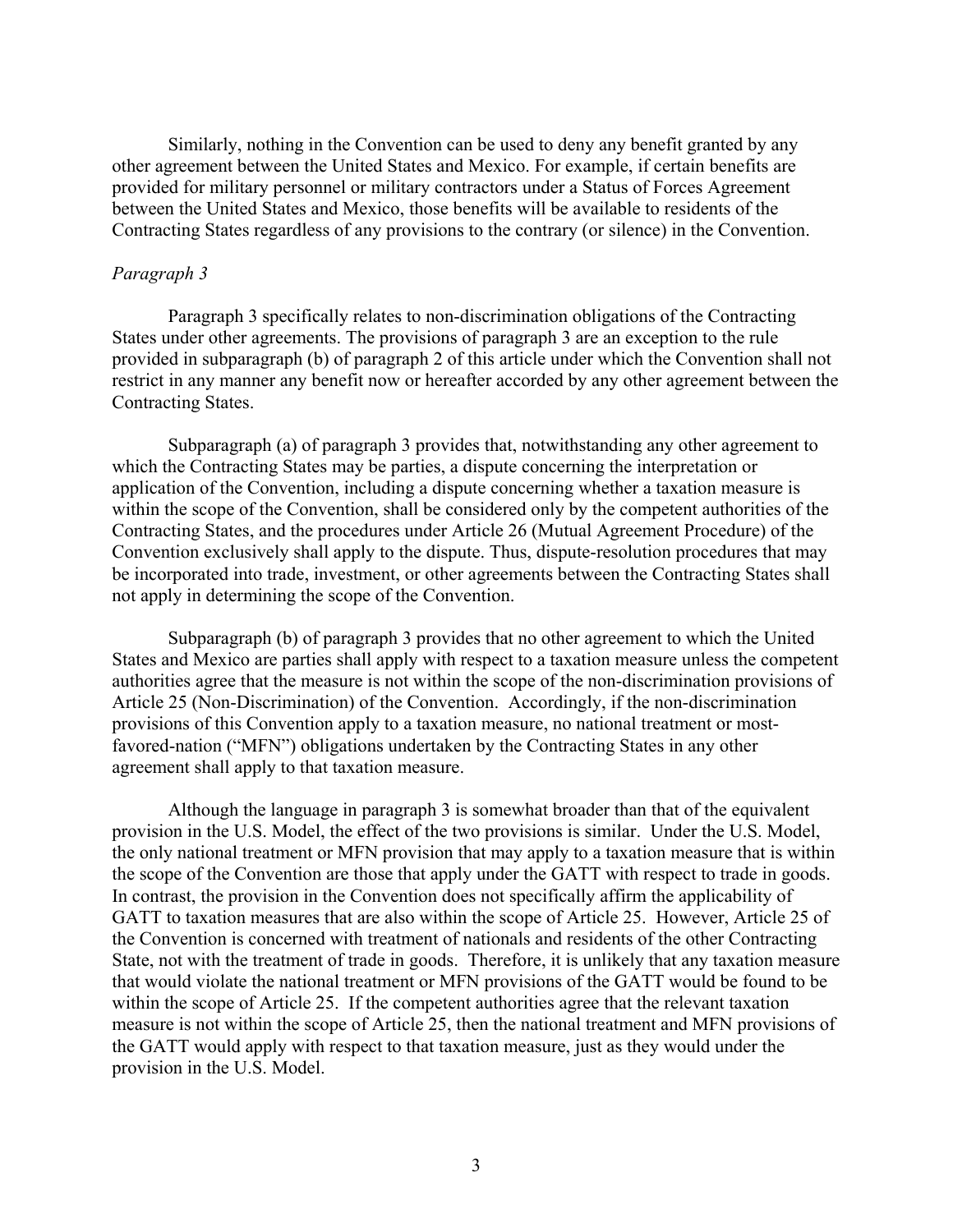Similarly, nothing in the Convention can be used to deny any benefit granted by any other agreement between the United States and Mexico. For example, if certain benefits are provided for military personnel or military contractors under a Status of Forces Agreement between the United States and Mexico, those benefits will be available to residents of the Contracting States regardless of any provisions to the contrary (or silence) in the Convention.

#### *Paragraph 3*

Paragraph 3 specifically relates to non-discrimination obligations of the Contracting States under other agreements. The provisions of paragraph 3 are an exception to the rule provided in subparagraph (b) of paragraph 2 of this article under which the Convention shall not restrict in any manner any benefit now or hereafter accorded by any other agreement between the Contracting States.

Subparagraph (a) of paragraph 3 provides that, notwithstanding any other agreement to which the Contracting States may be parties, a dispute concerning the interpretation or application of the Convention, including a dispute concerning whether a taxation measure is within the scope of the Convention, shall be considered only by the competent authorities of the Contracting States, and the procedures under Article 26 (Mutual Agreement Procedure) of the Convention exclusively shall apply to the dispute. Thus, dispute-resolution procedures that may be incorporated into trade, investment, or other agreements between the Contracting States shall not apply in determining the scope of the Convention.

Subparagraph (b) of paragraph 3 provides that no other agreement to which the United States and Mexico are parties shall apply with respect to a taxation measure unless the competent authorities agree that the measure is not within the scope of the non-discrimination provisions of Article 25 (Non-Discrimination) of the Convention. Accordingly, if the non-discrimination provisions of this Convention apply to a taxation measure, no national treatment or mostfavored-nation ("MFN") obligations undertaken by the Contracting States in any other agreement shall apply to that taxation measure.

Although the language in paragraph 3 is somewhat broader than that of the equivalent provision in the U.S. Model, the effect of the two provisions is similar. Under the U.S. Model, the only national treatment or MFN provision that may apply to a taxation measure that is within the scope of the Convention are those that apply under the GATT with respect to trade in goods. In contrast, the provision in the Convention does not specifically affirm the applicability of GATT to taxation measures that are also within the scope of Article 25. However, Article 25 of the Convention is concerned with treatment of nationals and residents of the other Contracting State, not with the treatment of trade in goods. Therefore, it is unlikely that any taxation measure that would violate the national treatment or MFN provisions of the GATT would be found to be within the scope of Article 25. If the competent authorities agree that the relevant taxation measure is not within the scope of Article 25, then the national treatment and MFN provisions of the GATT would apply with respect to that taxation measure, just as they would under the provision in the U.S. Model.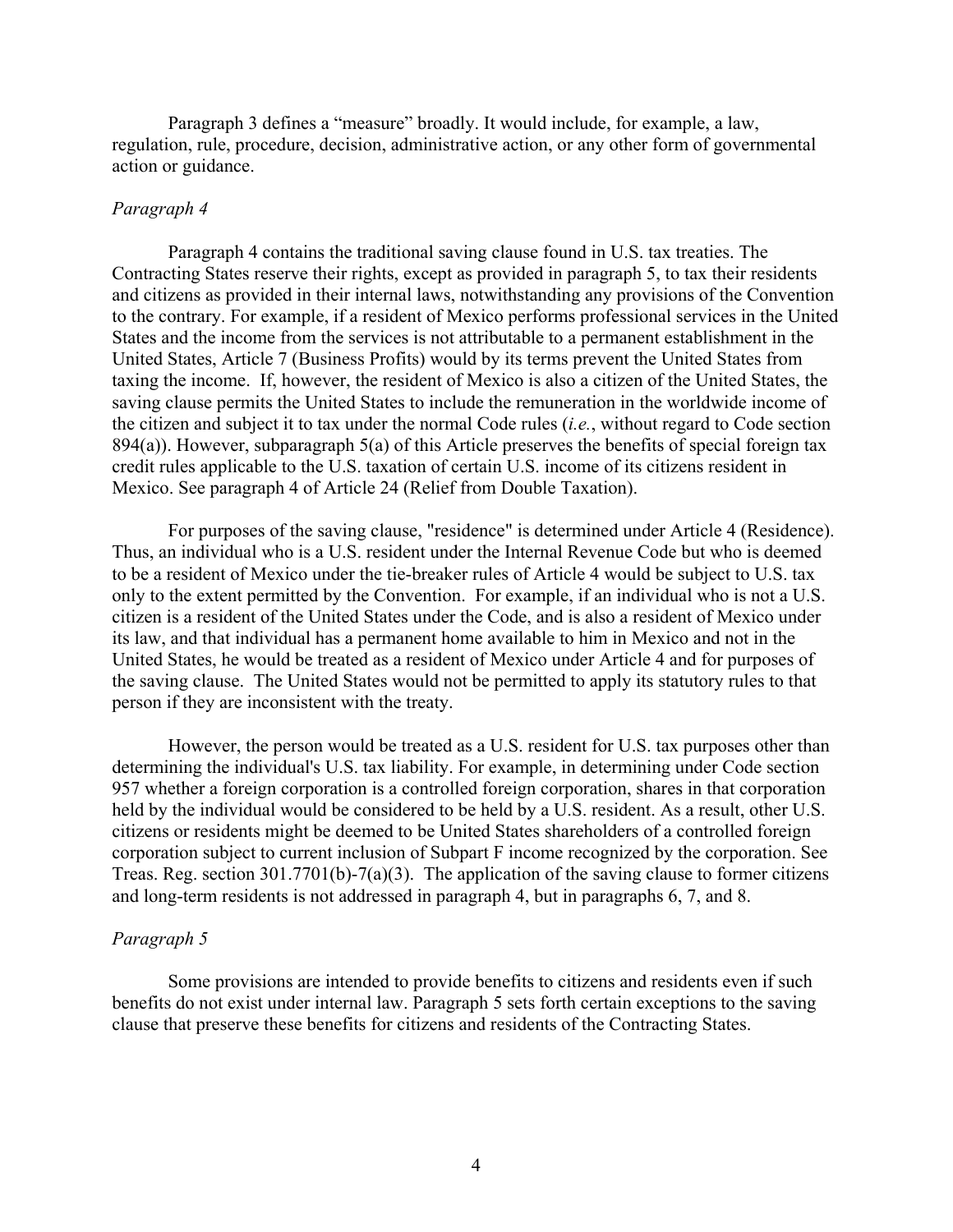Paragraph 3 defines a "measure" broadly. It would include, for example, a law, regulation, rule, procedure, decision, administrative action, or any other form of governmental action or guidance.

# *Paragraph 4*

Paragraph 4 contains the traditional saving clause found in U.S. tax treaties. The Contracting States reserve their rights, except as provided in paragraph 5, to tax their residents and citizens as provided in their internal laws, notwithstanding any provisions of the Convention to the contrary. For example, if a resident of Mexico performs professional services in the United States and the income from the services is not attributable to a permanent establishment in the United States, Article 7 (Business Profits) would by its terms prevent the United States from taxing the income. If, however, the resident of Mexico is also a citizen of the United States, the saving clause permits the United States to include the remuneration in the worldwide income of the citizen and subject it to tax under the normal Code rules (*i.e.*, without regard to Code section 894(a)). However, subparagraph 5(a) of this Article preserves the benefits of special foreign tax credit rules applicable to the U.S. taxation of certain U.S. income of its citizens resident in Mexico. See paragraph 4 of Article 24 (Relief from Double Taxation).

For purposes of the saving clause, "residence" is determined under Article 4 (Residence). Thus, an individual who is a U.S. resident under the Internal Revenue Code but who is deemed to be a resident of Mexico under the tie-breaker rules of Article 4 would be subject to U.S. tax only to the extent permitted by the Convention. For example, if an individual who is not a U.S. citizen is a resident of the United States under the Code, and is also a resident of Mexico under its law, and that individual has a permanent home available to him in Mexico and not in the United States, he would be treated as a resident of Mexico under Article 4 and for purposes of the saving clause. The United States would not be permitted to apply its statutory rules to that person if they are inconsistent with the treaty.

However, the person would be treated as a U.S. resident for U.S. tax purposes other than determining the individual's U.S. tax liability. For example, in determining under Code section 957 whether a foreign corporation is a controlled foreign corporation, shares in that corporation held by the individual would be considered to be held by a U.S. resident. As a result, other U.S. citizens or residents might be deemed to be United States shareholders of a controlled foreign corporation subject to current inclusion of Subpart F income recognized by the corporation. See Treas. Reg. section 301.7701(b)-7(a)(3). The application of the saving clause to former citizens and long-term residents is not addressed in paragraph 4, but in paragraphs 6, 7, and 8.

#### *Paragraph 5*

Some provisions are intended to provide benefits to citizens and residents even if such benefits do not exist under internal law. Paragraph 5 sets forth certain exceptions to the saving clause that preserve these benefits for citizens and residents of the Contracting States.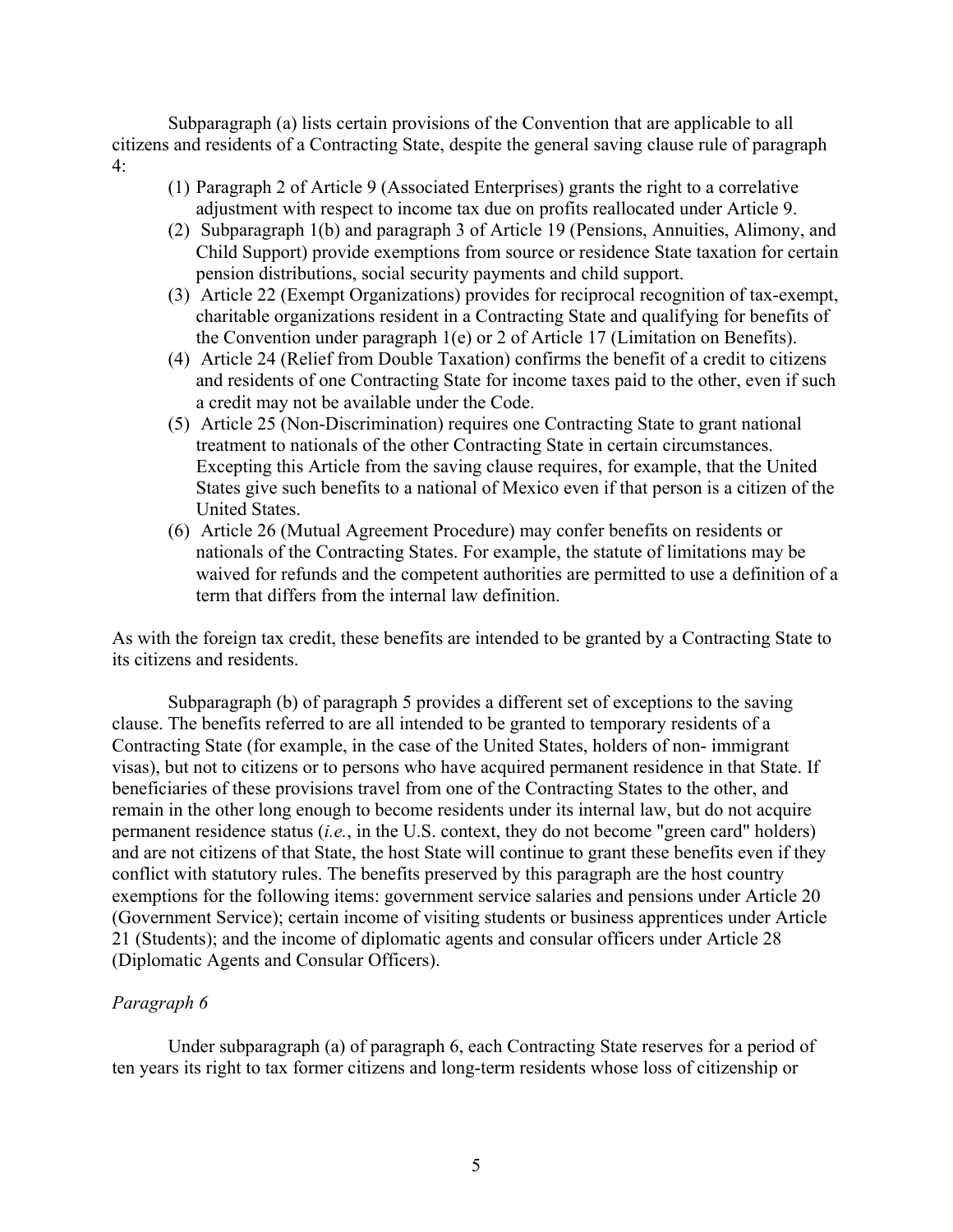Subparagraph (a) lists certain provisions of the Convention that are applicable to all citizens and residents of a Contracting State, despite the general saving clause rule of paragraph 4:

- (1) Paragraph 2 of Article 9 (Associated Enterprises) grants the right to a correlative adjustment with respect to income tax due on profits reallocated under Article 9.
- (2) Subparagraph 1(b) and paragraph 3 of Article 19 (Pensions, Annuities, Alimony, and Child Support) provide exemptions from source or residence State taxation for certain pension distributions, social security payments and child support.
- (3) Article 22 (Exempt Organizations) provides for reciprocal recognition of tax-exempt, charitable organizations resident in a Contracting State and qualifying for benefits of the Convention under paragraph 1(e) or 2 of Article 17 (Limitation on Benefits).
- (4) Article 24 (Relief from Double Taxation) confirms the benefit of a credit to citizens and residents of one Contracting State for income taxes paid to the other, even if such a credit may not be available under the Code.
- (5) Article 25 (Non-Discrimination) requires one Contracting State to grant national treatment to nationals of the other Contracting State in certain circumstances. Excepting this Article from the saving clause requires, for example, that the United States give such benefits to a national of Mexico even if that person is a citizen of the United States.
- (6) Article 26 (Mutual Agreement Procedure) may confer benefits on residents or nationals of the Contracting States. For example, the statute of limitations may be waived for refunds and the competent authorities are permitted to use a definition of a term that differs from the internal law definition.

As with the foreign tax credit, these benefits are intended to be granted by a Contracting State to its citizens and residents.

Subparagraph (b) of paragraph 5 provides a different set of exceptions to the saving clause. The benefits referred to are all intended to be granted to temporary residents of a Contracting State (for example, in the case of the United States, holders of non- immigrant visas), but not to citizens or to persons who have acquired permanent residence in that State. If beneficiaries of these provisions travel from one of the Contracting States to the other, and remain in the other long enough to become residents under its internal law, but do not acquire permanent residence status (*i.e.*, in the U.S. context, they do not become "green card" holders) and are not citizens of that State, the host State will continue to grant these benefits even if they conflict with statutory rules. The benefits preserved by this paragraph are the host country exemptions for the following items: government service salaries and pensions under Article 20 (Government Service); certain income of visiting students or business apprentices under Article 21 (Students); and the income of diplomatic agents and consular officers under Article 28 (Diplomatic Agents and Consular Officers).

# *Paragraph 6*

Under subparagraph (a) of paragraph 6, each Contracting State reserves for a period of ten years its right to tax former citizens and long-term residents whose loss of citizenship or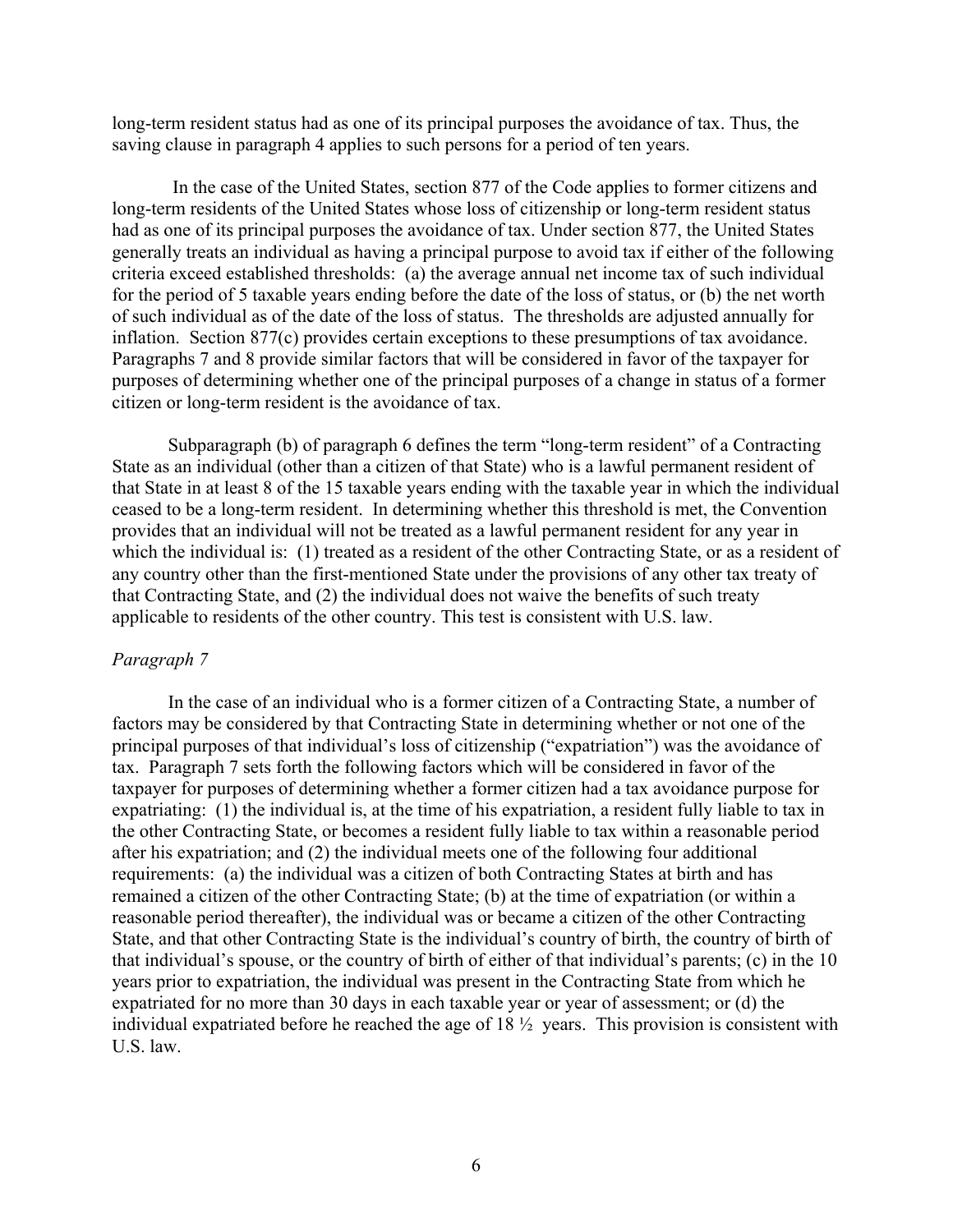long-term resident status had as one of its principal purposes the avoidance of tax. Thus, the saving clause in paragraph 4 applies to such persons for a period of ten years.

In the case of the United States, section 877 of the Code applies to former citizens and long-term residents of the United States whose loss of citizenship or long-term resident status had as one of its principal purposes the avoidance of tax. Under section 877, the United States generally treats an individual as having a principal purpose to avoid tax if either of the following criteria exceed established thresholds: (a) the average annual net income tax of such individual for the period of 5 taxable years ending before the date of the loss of status, or (b) the net worth of such individual as of the date of the loss of status. The thresholds are adjusted annually for inflation. Section 877(c) provides certain exceptions to these presumptions of tax avoidance. Paragraphs 7 and 8 provide similar factors that will be considered in favor of the taxpayer for purposes of determining whether one of the principal purposes of a change in status of a former citizen or long-term resident is the avoidance of tax.

Subparagraph (b) of paragraph 6 defines the term "long-term resident" of a Contracting State as an individual (other than a citizen of that State) who is a lawful permanent resident of that State in at least 8 of the 15 taxable years ending with the taxable year in which the individual ceased to be a long-term resident. In determining whether this threshold is met, the Convention provides that an individual will not be treated as a lawful permanent resident for any year in which the individual is: (1) treated as a resident of the other Contracting State, or as a resident of any country other than the first-mentioned State under the provisions of any other tax treaty of that Contracting State, and (2) the individual does not waive the benefits of such treaty applicable to residents of the other country. This test is consistent with U.S. law.

# *Paragraph 7*

In the case of an individual who is a former citizen of a Contracting State, a number of factors may be considered by that Contracting State in determining whether or not one of the principal purposes of that individual's loss of citizenship ("expatriation") was the avoidance of tax. Paragraph 7 sets forth the following factors which will be considered in favor of the taxpayer for purposes of determining whether a former citizen had a tax avoidance purpose for expatriating: (1) the individual is, at the time of his expatriation, a resident fully liable to tax in the other Contracting State, or becomes a resident fully liable to tax within a reasonable period after his expatriation; and (2) the individual meets one of the following four additional requirements: (a) the individual was a citizen of both Contracting States at birth and has remained a citizen of the other Contracting State; (b) at the time of expatriation (or within a reasonable period thereafter), the individual was or became a citizen of the other Contracting State, and that other Contracting State is the individual's country of birth, the country of birth of that individual's spouse, or the country of birth of either of that individual's parents; (c) in the 10 years prior to expatriation, the individual was present in the Contracting State from which he expatriated for no more than 30 days in each taxable year or year of assessment; or (d) the individual expatriated before he reached the age of 18 ½ years. This provision is consistent with U.S. law.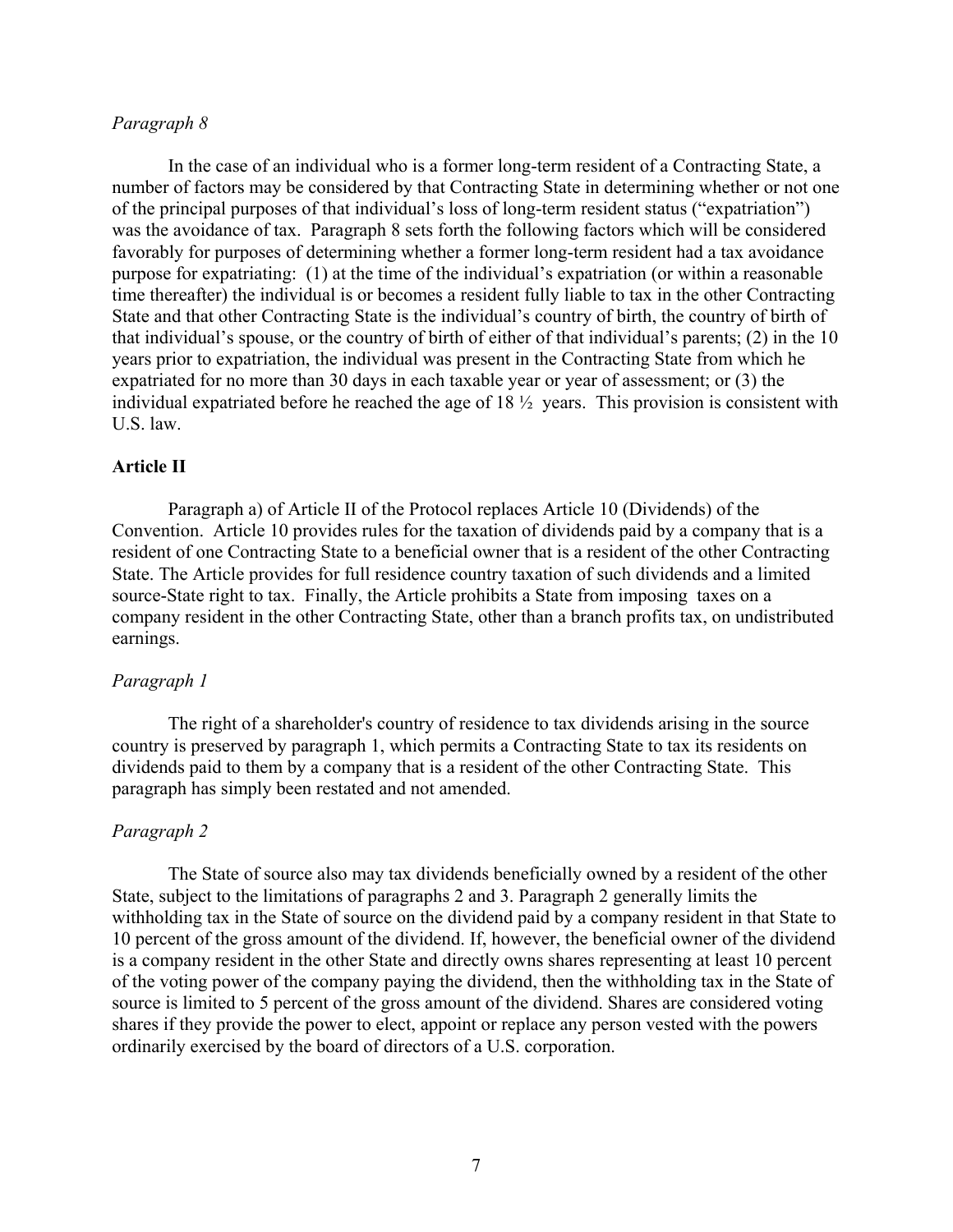### *Paragraph 8*

In the case of an individual who is a former long-term resident of a Contracting State, a number of factors may be considered by that Contracting State in determining whether or not one of the principal purposes of that individual's loss of long-term resident status ("expatriation") was the avoidance of tax. Paragraph 8 sets forth the following factors which will be considered favorably for purposes of determining whether a former long-term resident had a tax avoidance purpose for expatriating: (1) at the time of the individual's expatriation (or within a reasonable time thereafter) the individual is or becomes a resident fully liable to tax in the other Contracting State and that other Contracting State is the individual's country of birth, the country of birth of that individual's spouse, or the country of birth of either of that individual's parents; (2) in the 10 years prior to expatriation, the individual was present in the Contracting State from which he expatriated for no more than 30 days in each taxable year or year of assessment; or (3) the individual expatriated before he reached the age of 18 ½ years. This provision is consistent with U.S. law.

### **Article II**

Paragraph a) of Article II of the Protocol replaces Article 10 (Dividends) of the Convention. Article 10 provides rules for the taxation of dividends paid by a company that is a resident of one Contracting State to a beneficial owner that is a resident of the other Contracting State. The Article provides for full residence country taxation of such dividends and a limited source-State right to tax. Finally, the Article prohibits a State from imposing taxes on a company resident in the other Contracting State, other than a branch profits tax, on undistributed earnings.

#### *Paragraph 1*

The right of a shareholder's country of residence to tax dividends arising in the source country is preserved by paragraph 1, which permits a Contracting State to tax its residents on dividends paid to them by a company that is a resident of the other Contracting State. This paragraph has simply been restated and not amended.

# *Paragraph 2*

The State of source also may tax dividends beneficially owned by a resident of the other State, subject to the limitations of paragraphs 2 and 3. Paragraph 2 generally limits the withholding tax in the State of source on the dividend paid by a company resident in that State to 10 percent of the gross amount of the dividend. If, however, the beneficial owner of the dividend is a company resident in the other State and directly owns shares representing at least 10 percent of the voting power of the company paying the dividend, then the withholding tax in the State of source is limited to 5 percent of the gross amount of the dividend. Shares are considered voting shares if they provide the power to elect, appoint or replace any person vested with the powers ordinarily exercised by the board of directors of a U.S. corporation.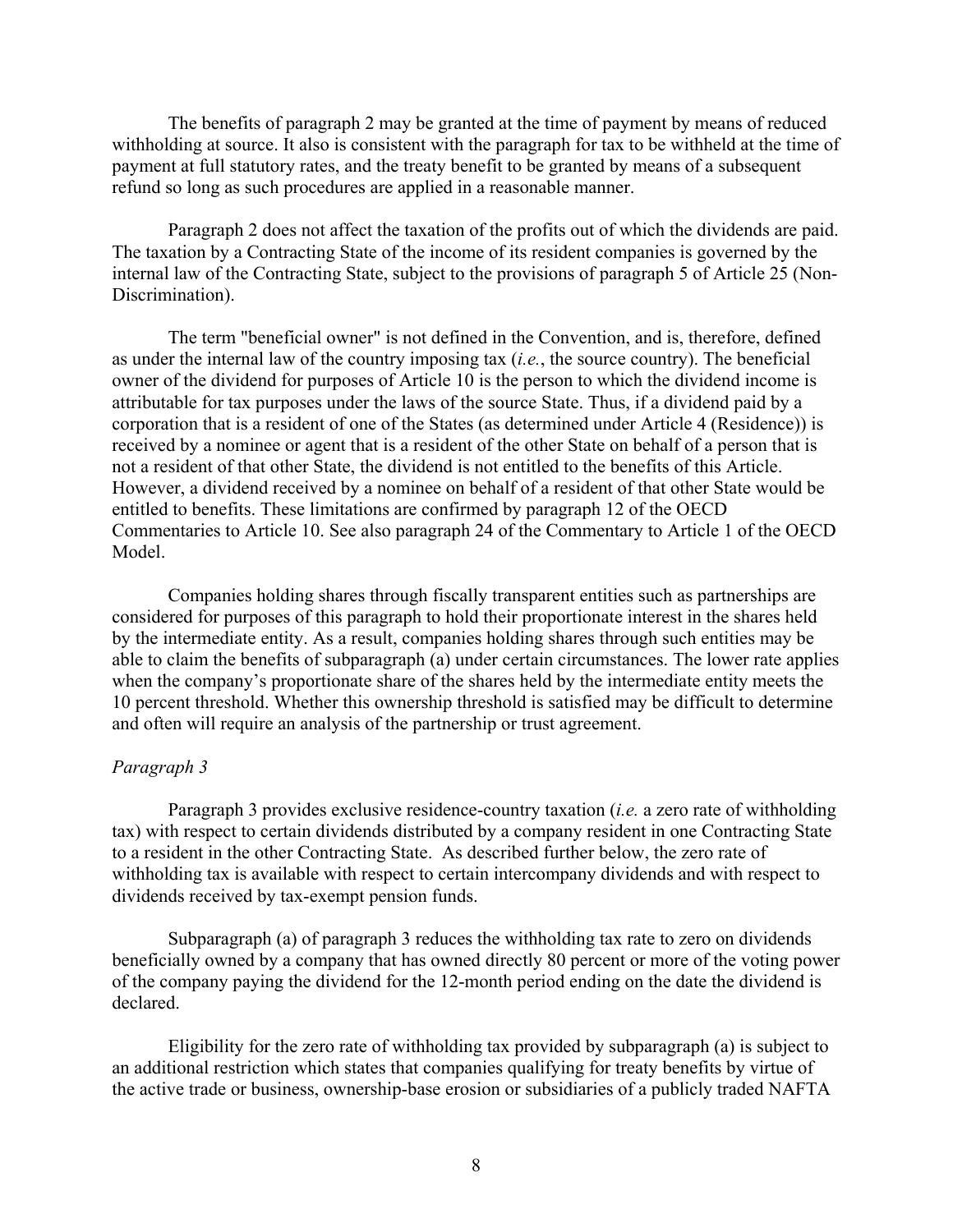The benefits of paragraph 2 may be granted at the time of payment by means of reduced withholding at source. It also is consistent with the paragraph for tax to be withheld at the time of payment at full statutory rates, and the treaty benefit to be granted by means of a subsequent refund so long as such procedures are applied in a reasonable manner.

Paragraph 2 does not affect the taxation of the profits out of which the dividends are paid. The taxation by a Contracting State of the income of its resident companies is governed by the internal law of the Contracting State, subject to the provisions of paragraph 5 of Article 25 (Non-Discrimination).

The term "beneficial owner" is not defined in the Convention, and is, therefore, defined as under the internal law of the country imposing tax (*i.e.*, the source country). The beneficial owner of the dividend for purposes of Article 10 is the person to which the dividend income is attributable for tax purposes under the laws of the source State. Thus, if a dividend paid by a corporation that is a resident of one of the States (as determined under Article 4 (Residence)) is received by a nominee or agent that is a resident of the other State on behalf of a person that is not a resident of that other State, the dividend is not entitled to the benefits of this Article. However, a dividend received by a nominee on behalf of a resident of that other State would be entitled to benefits. These limitations are confirmed by paragraph 12 of the OECD Commentaries to Article 10. See also paragraph 24 of the Commentary to Article 1 of the OECD Model.

Companies holding shares through fiscally transparent entities such as partnerships are considered for purposes of this paragraph to hold their proportionate interest in the shares held by the intermediate entity. As a result, companies holding shares through such entities may be able to claim the benefits of subparagraph (a) under certain circumstances. The lower rate applies when the company's proportionate share of the shares held by the intermediate entity meets the 10 percent threshold. Whether this ownership threshold is satisfied may be difficult to determine and often will require an analysis of the partnership or trust agreement.

#### *Paragraph 3*

Paragraph 3 provides exclusive residence-country taxation (*i.e.* a zero rate of withholding tax) with respect to certain dividends distributed by a company resident in one Contracting State to a resident in the other Contracting State. As described further below, the zero rate of withholding tax is available with respect to certain intercompany dividends and with respect to dividends received by tax-exempt pension funds.

Subparagraph (a) of paragraph 3 reduces the withholding tax rate to zero on dividends beneficially owned by a company that has owned directly 80 percent or more of the voting power of the company paying the dividend for the 12-month period ending on the date the dividend is declared.

Eligibility for the zero rate of withholding tax provided by subparagraph (a) is subject to an additional restriction which states that companies qualifying for treaty benefits by virtue of the active trade or business, ownership-base erosion or subsidiaries of a publicly traded NAFTA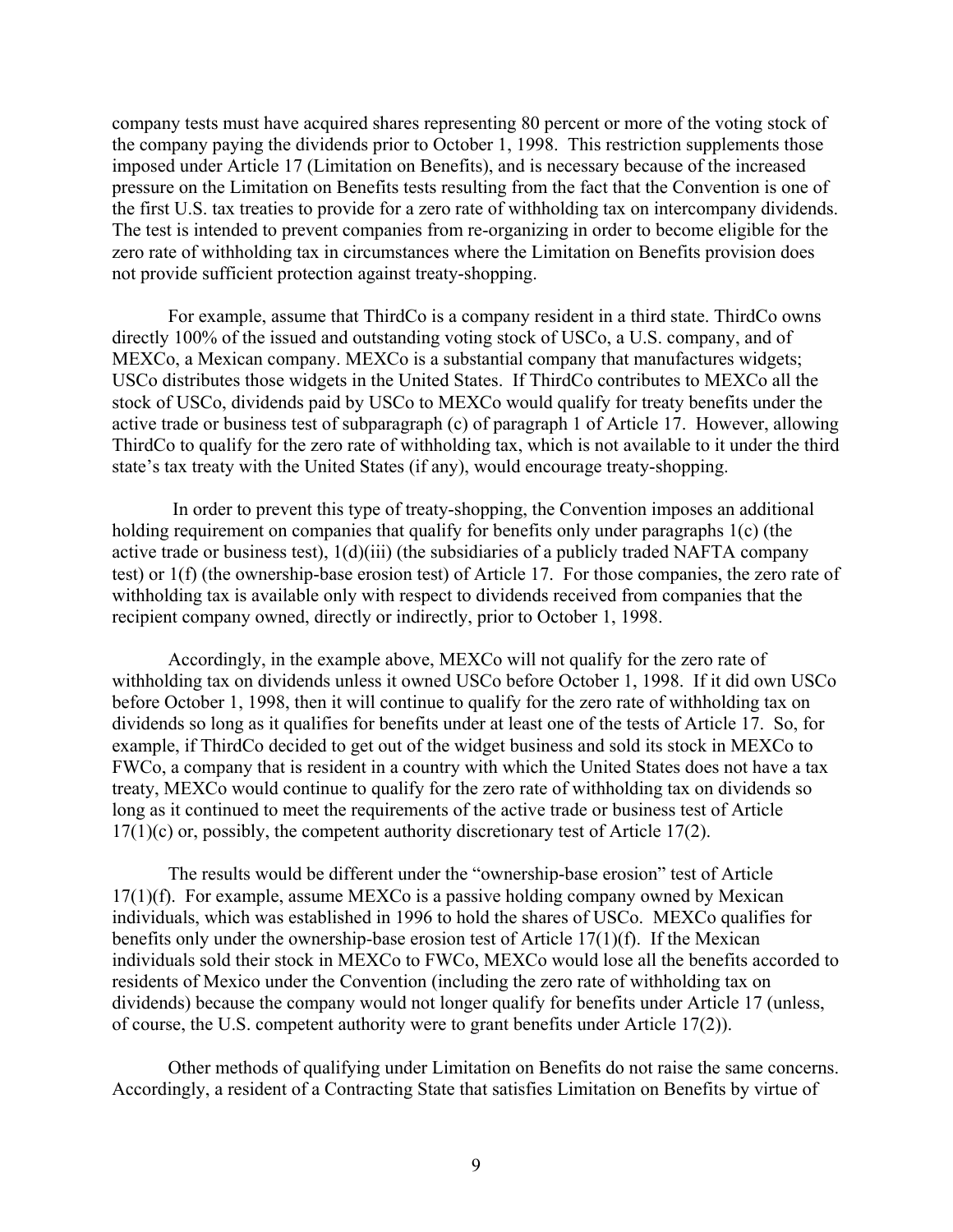company tests must have acquired shares representing 80 percent or more of the voting stock of the company paying the dividends prior to October 1, 1998. This restriction supplements those imposed under Article 17 (Limitation on Benefits), and is necessary because of the increased pressure on the Limitation on Benefits tests resulting from the fact that the Convention is one of the first U.S. tax treaties to provide for a zero rate of withholding tax on intercompany dividends. The test is intended to prevent companies from re-organizing in order to become eligible for the zero rate of withholding tax in circumstances where the Limitation on Benefits provision does not provide sufficient protection against treaty-shopping.

For example, assume that ThirdCo is a company resident in a third state. ThirdCo owns directly 100% of the issued and outstanding voting stock of USCo, a U.S. company, and of MEXCo, a Mexican company. MEXCo is a substantial company that manufactures widgets; USCo distributes those widgets in the United States. If ThirdCo contributes to MEXCo all the stock of USCo, dividends paid by USCo to MEXCo would qualify for treaty benefits under the active trade or business test of subparagraph (c) of paragraph 1 of Article 17. However, allowing ThirdCo to qualify for the zero rate of withholding tax, which is not available to it under the third state's tax treaty with the United States (if any), would encourage treaty-shopping.

In order to prevent this type of treaty-shopping, the Convention imposes an additional holding requirement on companies that qualify for benefits only under paragraphs 1(c) (the active trade or business test), 1(d)(iii) (the subsidiaries of a publicly traded NAFTA company test) or 1(f) (the ownership-base erosion test) of Article 17. For those companies, the zero rate of withholding tax is available only with respect to dividends received from companies that the recipient company owned, directly or indirectly, prior to October 1, 1998.

Accordingly, in the example above, MEXCo will not qualify for the zero rate of withholding tax on dividends unless it owned USCo before October 1, 1998. If it did own USCo before October 1, 1998, then it will continue to qualify for the zero rate of withholding tax on dividends so long as it qualifies for benefits under at least one of the tests of Article 17. So, for example, if ThirdCo decided to get out of the widget business and sold its stock in MEXCo to FWCo, a company that is resident in a country with which the United States does not have a tax treaty, MEXCo would continue to qualify for the zero rate of withholding tax on dividends so long as it continued to meet the requirements of the active trade or business test of Article 17(1)(c) or, possibly, the competent authority discretionary test of Article 17(2).

The results would be different under the "ownership-base erosion" test of Article 17(1)(f). For example, assume MEXCo is a passive holding company owned by Mexican individuals, which was established in 1996 to hold the shares of USCo. MEXCo qualifies for benefits only under the ownership-base erosion test of Article 17(1)(f). If the Mexican individuals sold their stock in MEXCo to FWCo, MEXCo would lose all the benefits accorded to residents of Mexico under the Convention (including the zero rate of withholding tax on dividends) because the company would not longer qualify for benefits under Article 17 (unless, of course, the U.S. competent authority were to grant benefits under Article 17(2)).

Other methods of qualifying under Limitation on Benefits do not raise the same concerns. Accordingly, a resident of a Contracting State that satisfies Limitation on Benefits by virtue of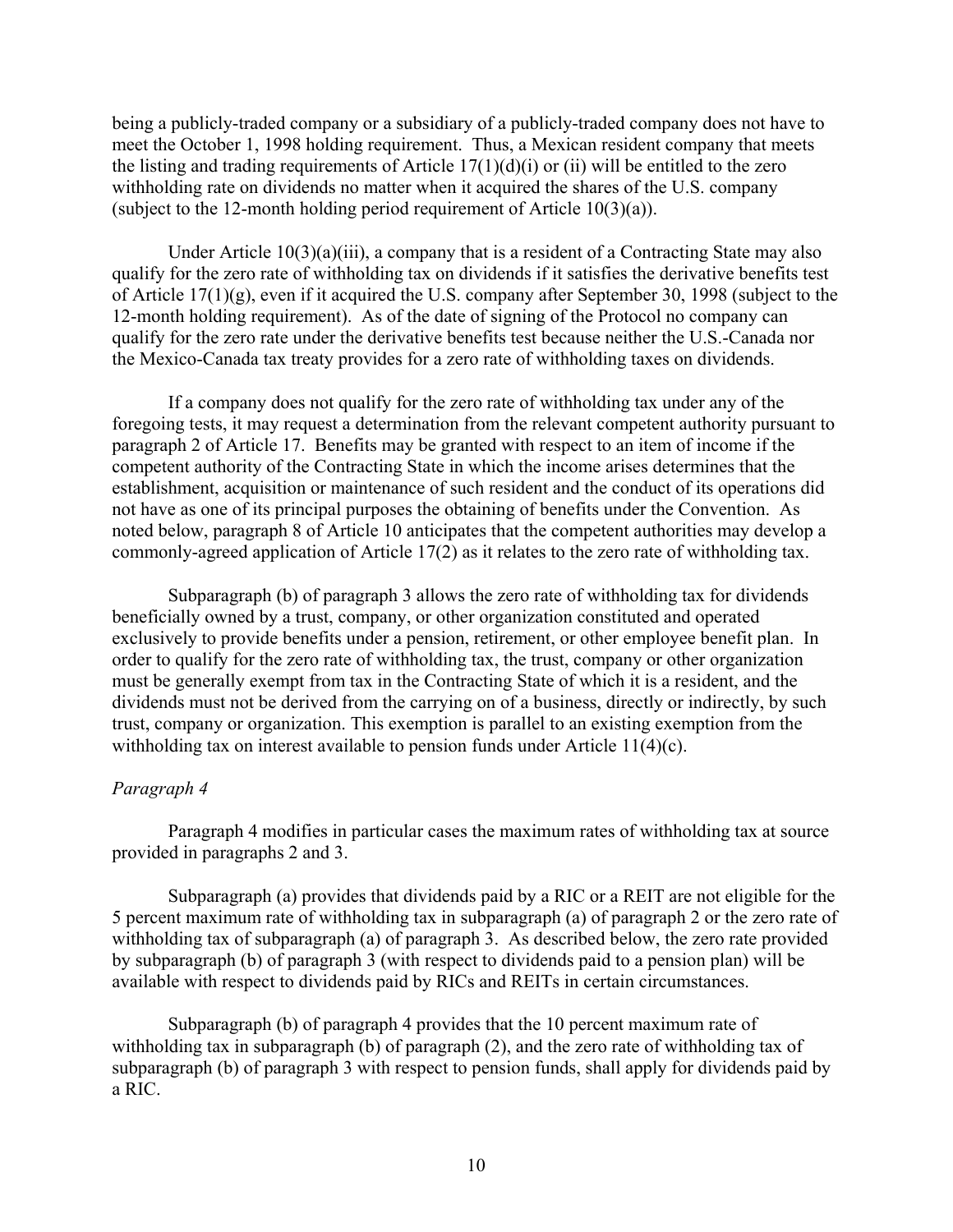being a publicly-traded company or a subsidiary of a publicly-traded company does not have to meet the October 1, 1998 holding requirement. Thus, a Mexican resident company that meets the listing and trading requirements of Article  $17(1)(d)(i)$  or (ii) will be entitled to the zero withholding rate on dividends no matter when it acquired the shares of the U.S. company (subject to the 12-month holding period requirement of Article 10(3)(a)).

Under Article 10(3)(a)(iii), a company that is a resident of a Contracting State may also qualify for the zero rate of withholding tax on dividends if it satisfies the derivative benefits test of Article 17(1)(g), even if it acquired the U.S. company after September 30, 1998 (subject to the 12-month holding requirement). As of the date of signing of the Protocol no company can qualify for the zero rate under the derivative benefits test because neither the U.S.-Canada nor the Mexico-Canada tax treaty provides for a zero rate of withholding taxes on dividends.

If a company does not qualify for the zero rate of withholding tax under any of the foregoing tests, it may request a determination from the relevant competent authority pursuant to paragraph 2 of Article 17. Benefits may be granted with respect to an item of income if the competent authority of the Contracting State in which the income arises determines that the establishment, acquisition or maintenance of such resident and the conduct of its operations did not have as one of its principal purposes the obtaining of benefits under the Convention. As noted below, paragraph 8 of Article 10 anticipates that the competent authorities may develop a commonly-agreed application of Article 17(2) as it relates to the zero rate of withholding tax.

Subparagraph (b) of paragraph 3 allows the zero rate of withholding tax for dividends beneficially owned by a trust, company, or other organization constituted and operated exclusively to provide benefits under a pension, retirement, or other employee benefit plan. In order to qualify for the zero rate of withholding tax, the trust, company or other organization must be generally exempt from tax in the Contracting State of which it is a resident, and the dividends must not be derived from the carrying on of a business, directly or indirectly, by such trust, company or organization. This exemption is parallel to an existing exemption from the withholding tax on interest available to pension funds under Article 11(4)(c).

## *Paragraph 4*

Paragraph 4 modifies in particular cases the maximum rates of withholding tax at source provided in paragraphs 2 and 3.

Subparagraph (a) provides that dividends paid by a RIC or a REIT are not eligible for the 5 percent maximum rate of withholding tax in subparagraph (a) of paragraph 2 or the zero rate of withholding tax of subparagraph (a) of paragraph 3. As described below, the zero rate provided by subparagraph (b) of paragraph 3 (with respect to dividends paid to a pension plan) will be available with respect to dividends paid by RICs and REITs in certain circumstances.

Subparagraph (b) of paragraph 4 provides that the 10 percent maximum rate of withholding tax in subparagraph (b) of paragraph (2), and the zero rate of withholding tax of subparagraph (b) of paragraph 3 with respect to pension funds, shall apply for dividends paid by a RIC.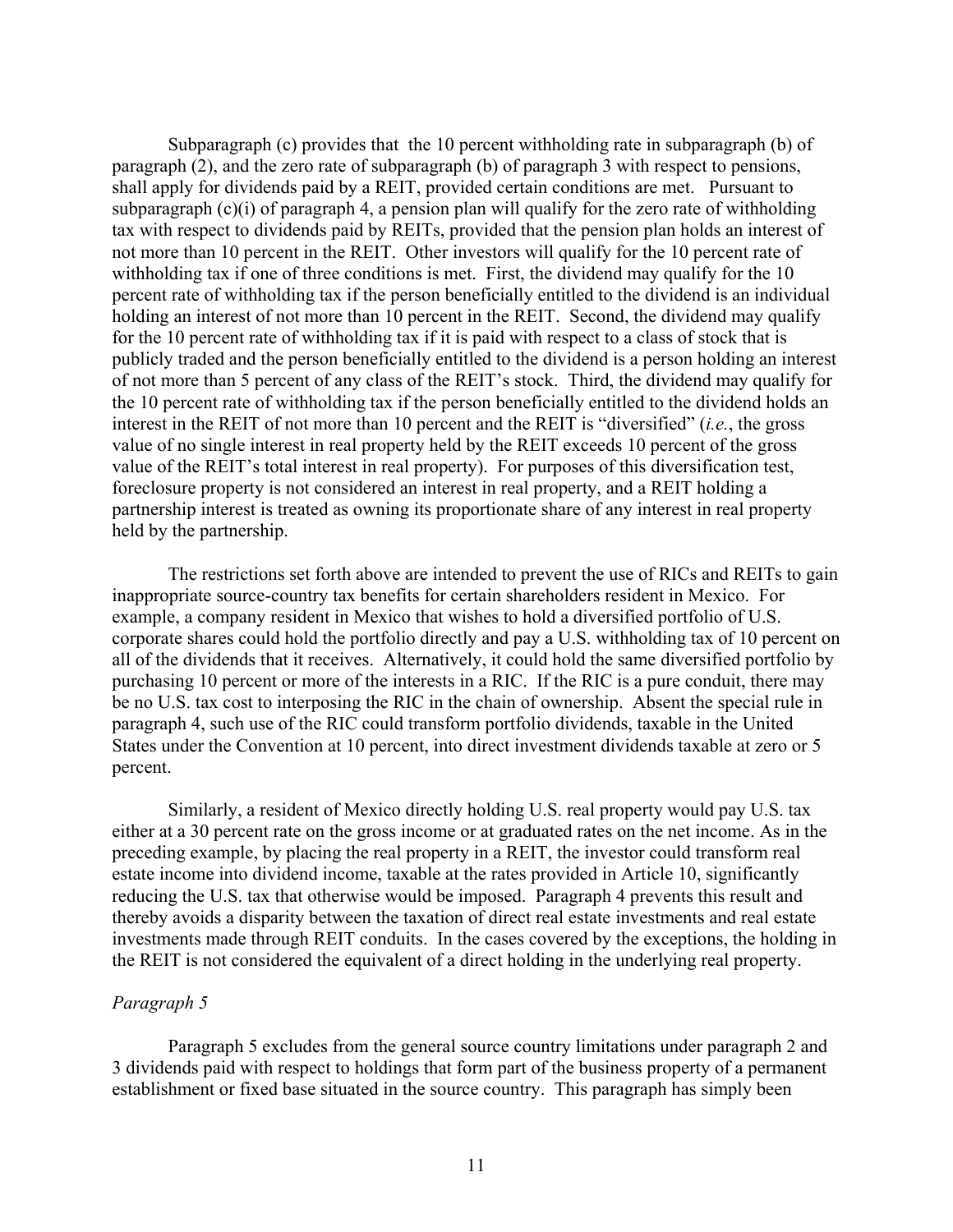Subparagraph (c) provides that the 10 percent withholding rate in subparagraph (b) of paragraph (2), and the zero rate of subparagraph (b) of paragraph 3 with respect to pensions, shall apply for dividends paid by a REIT, provided certain conditions are met. Pursuant to subparagraph  $(c)(i)$  of paragraph 4, a pension plan will qualify for the zero rate of withholding tax with respect to dividends paid by REITs, provided that the pension plan holds an interest of not more than 10 percent in the REIT. Other investors will qualify for the 10 percent rate of withholding tax if one of three conditions is met. First, the dividend may qualify for the 10 percent rate of withholding tax if the person beneficially entitled to the dividend is an individual holding an interest of not more than 10 percent in the REIT. Second, the dividend may qualify for the 10 percent rate of withholding tax if it is paid with respect to a class of stock that is publicly traded and the person beneficially entitled to the dividend is a person holding an interest of not more than 5 percent of any class of the REIT's stock. Third, the dividend may qualify for the 10 percent rate of withholding tax if the person beneficially entitled to the dividend holds an interest in the REIT of not more than 10 percent and the REIT is "diversified" (*i.e.*, the gross value of no single interest in real property held by the REIT exceeds 10 percent of the gross value of the REIT's total interest in real property). For purposes of this diversification test, foreclosure property is not considered an interest in real property, and a REIT holding a partnership interest is treated as owning its proportionate share of any interest in real property held by the partnership.

The restrictions set forth above are intended to prevent the use of RICs and REITs to gain inappropriate source-country tax benefits for certain shareholders resident in Mexico. For example, a company resident in Mexico that wishes to hold a diversified portfolio of U.S. corporate shares could hold the portfolio directly and pay a U.S. withholding tax of 10 percent on all of the dividends that it receives. Alternatively, it could hold the same diversified portfolio by purchasing 10 percent or more of the interests in a RIC. If the RIC is a pure conduit, there may be no U.S. tax cost to interposing the RIC in the chain of ownership. Absent the special rule in paragraph 4, such use of the RIC could transform portfolio dividends, taxable in the United States under the Convention at 10 percent, into direct investment dividends taxable at zero or 5 percent.

Similarly, a resident of Mexico directly holding U.S. real property would pay U.S. tax either at a 30 percent rate on the gross income or at graduated rates on the net income. As in the preceding example, by placing the real property in a REIT, the investor could transform real estate income into dividend income, taxable at the rates provided in Article 10, significantly reducing the U.S. tax that otherwise would be imposed. Paragraph 4 prevents this result and thereby avoids a disparity between the taxation of direct real estate investments and real estate investments made through REIT conduits. In the cases covered by the exceptions, the holding in the REIT is not considered the equivalent of a direct holding in the underlying real property.

# *Paragraph 5*

Paragraph 5 excludes from the general source country limitations under paragraph 2 and 3 dividends paid with respect to holdings that form part of the business property of a permanent establishment or fixed base situated in the source country. This paragraph has simply been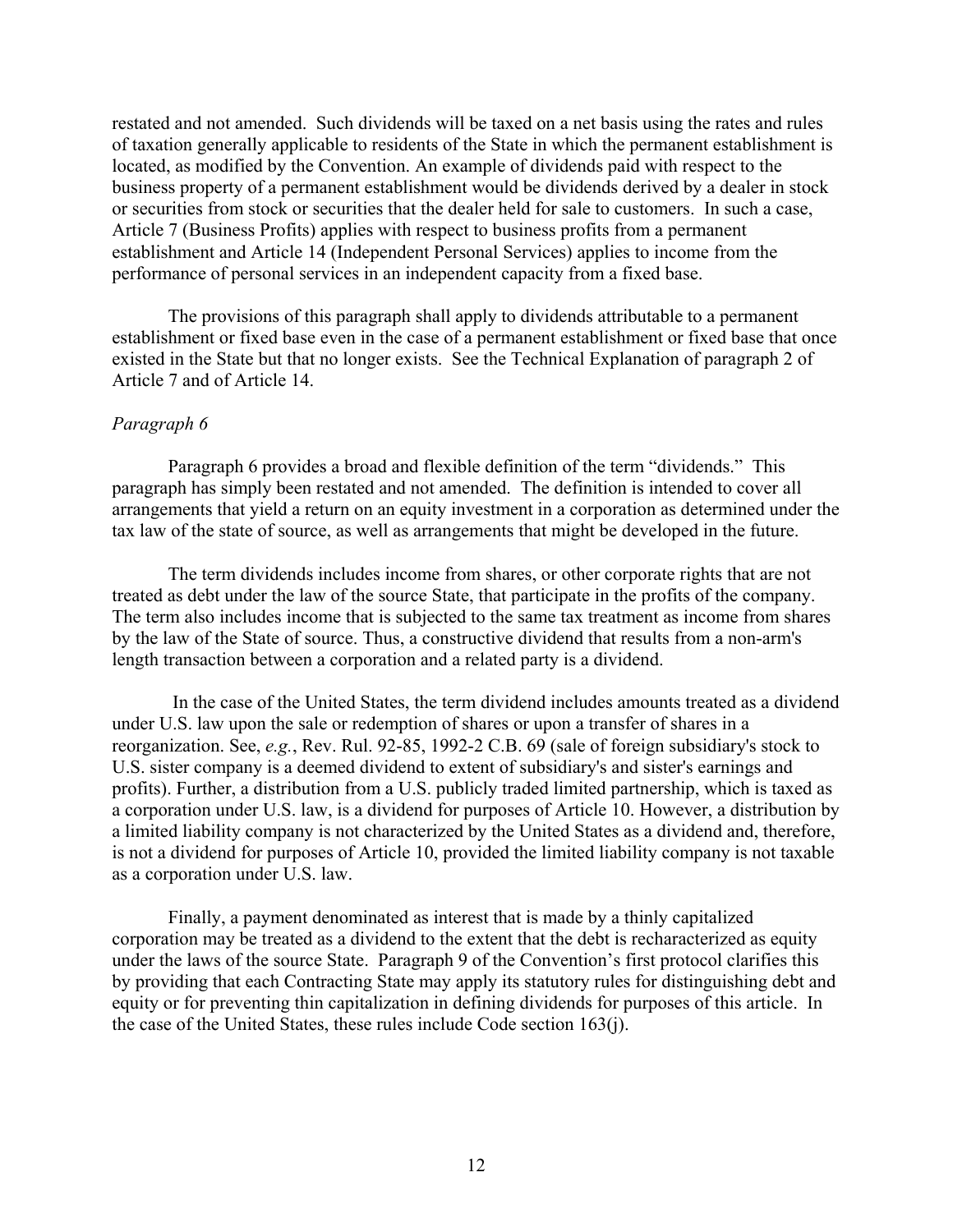restated and not amended. Such dividends will be taxed on a net basis using the rates and rules of taxation generally applicable to residents of the State in which the permanent establishment is located, as modified by the Convention. An example of dividends paid with respect to the business property of a permanent establishment would be dividends derived by a dealer in stock or securities from stock or securities that the dealer held for sale to customers. In such a case, Article 7 (Business Profits) applies with respect to business profits from a permanent establishment and Article 14 (Independent Personal Services) applies to income from the performance of personal services in an independent capacity from a fixed base.

The provisions of this paragraph shall apply to dividends attributable to a permanent establishment or fixed base even in the case of a permanent establishment or fixed base that once existed in the State but that no longer exists. See the Technical Explanation of paragraph 2 of Article 7 and of Article 14.

# *Paragraph 6*

Paragraph 6 provides a broad and flexible definition of the term "dividends." This paragraph has simply been restated and not amended. The definition is intended to cover all arrangements that yield a return on an equity investment in a corporation as determined under the tax law of the state of source, as well as arrangements that might be developed in the future.

The term dividends includes income from shares, or other corporate rights that are not treated as debt under the law of the source State, that participate in the profits of the company. The term also includes income that is subjected to the same tax treatment as income from shares by the law of the State of source. Thus, a constructive dividend that results from a non-arm's length transaction between a corporation and a related party is a dividend.

In the case of the United States, the term dividend includes amounts treated as a dividend under U.S. law upon the sale or redemption of shares or upon a transfer of shares in a reorganization. See, *e.g.*, Rev. Rul. 92-85, 1992-2 C.B. 69 (sale of foreign subsidiary's stock to U.S. sister company is a deemed dividend to extent of subsidiary's and sister's earnings and profits). Further, a distribution from a U.S. publicly traded limited partnership, which is taxed as a corporation under U.S. law, is a dividend for purposes of Article 10. However, a distribution by a limited liability company is not characterized by the United States as a dividend and, therefore, is not a dividend for purposes of Article 10, provided the limited liability company is not taxable as a corporation under U.S. law.

Finally, a payment denominated as interest that is made by a thinly capitalized corporation may be treated as a dividend to the extent that the debt is recharacterized as equity under the laws of the source State. Paragraph 9 of the Convention's first protocol clarifies this by providing that each Contracting State may apply its statutory rules for distinguishing debt and equity or for preventing thin capitalization in defining dividends for purposes of this article. In the case of the United States, these rules include Code section 163(j).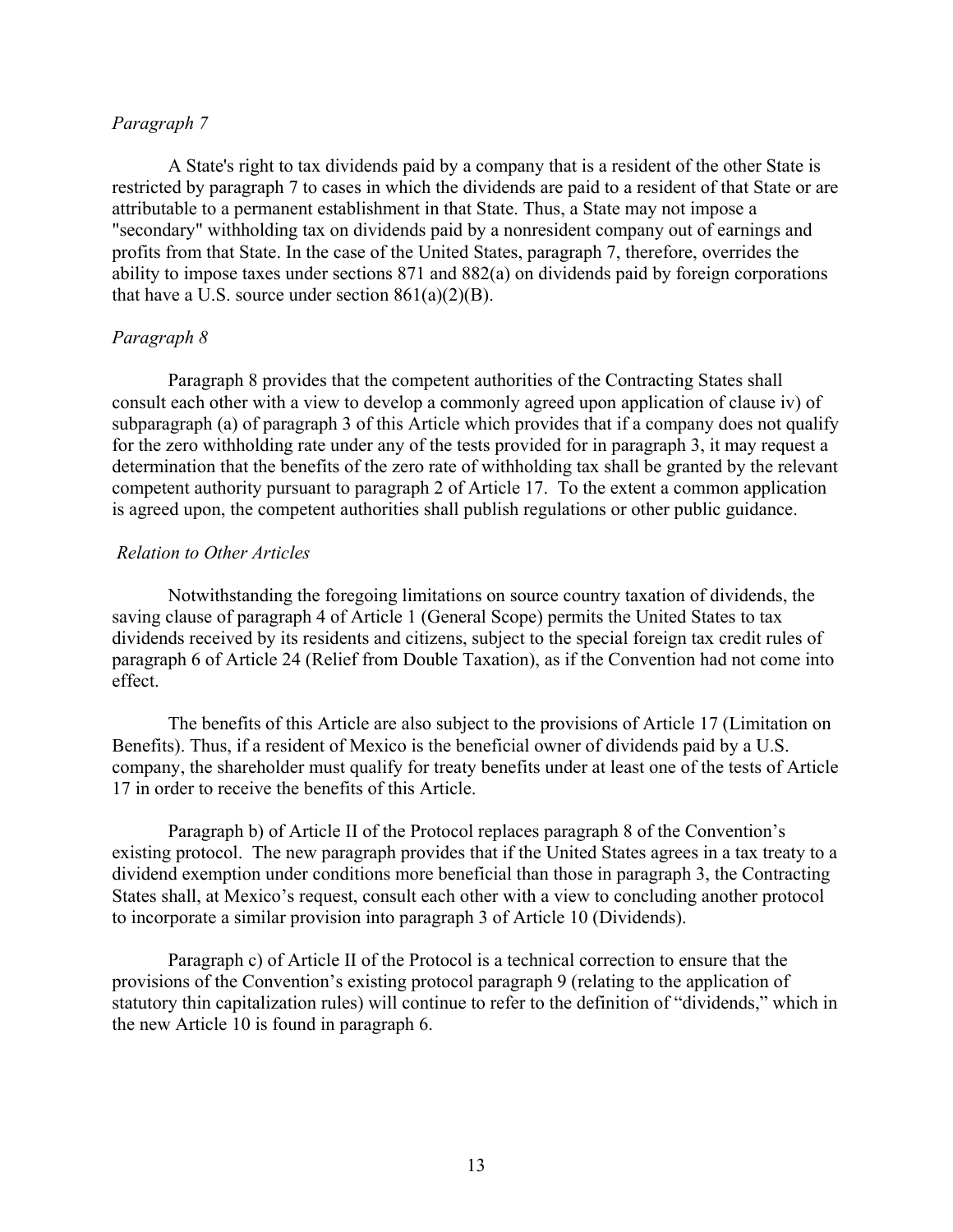### *Paragraph 7*

A State's right to tax dividends paid by a company that is a resident of the other State is restricted by paragraph 7 to cases in which the dividends are paid to a resident of that State or are attributable to a permanent establishment in that State. Thus, a State may not impose a "secondary" withholding tax on dividends paid by a nonresident company out of earnings and profits from that State. In the case of the United States, paragraph 7, therefore, overrides the ability to impose taxes under sections 871 and 882(a) on dividends paid by foreign corporations that have a U.S. source under section  $861(a)(2)(B)$ .

## *Paragraph 8*

Paragraph 8 provides that the competent authorities of the Contracting States shall consult each other with a view to develop a commonly agreed upon application of clause iv) of subparagraph (a) of paragraph 3 of this Article which provides that if a company does not qualify for the zero withholding rate under any of the tests provided for in paragraph 3, it may request a determination that the benefits of the zero rate of withholding tax shall be granted by the relevant competent authority pursuant to paragraph 2 of Article 17. To the extent a common application is agreed upon, the competent authorities shall publish regulations or other public guidance.

#### *Relation to Other Articles*

Notwithstanding the foregoing limitations on source country taxation of dividends, the saving clause of paragraph 4 of Article 1 (General Scope) permits the United States to tax dividends received by its residents and citizens, subject to the special foreign tax credit rules of paragraph 6 of Article 24 (Relief from Double Taxation), as if the Convention had not come into effect.

The benefits of this Article are also subject to the provisions of Article 17 (Limitation on Benefits). Thus, if a resident of Mexico is the beneficial owner of dividends paid by a U.S. company, the shareholder must qualify for treaty benefits under at least one of the tests of Article 17 in order to receive the benefits of this Article.

Paragraph b) of Article II of the Protocol replaces paragraph 8 of the Convention's existing protocol. The new paragraph provides that if the United States agrees in a tax treaty to a dividend exemption under conditions more beneficial than those in paragraph 3, the Contracting States shall, at Mexico's request, consult each other with a view to concluding another protocol to incorporate a similar provision into paragraph 3 of Article 10 (Dividends).

Paragraph c) of Article II of the Protocol is a technical correction to ensure that the provisions of the Convention's existing protocol paragraph 9 (relating to the application of statutory thin capitalization rules) will continue to refer to the definition of "dividends," which in the new Article 10 is found in paragraph 6.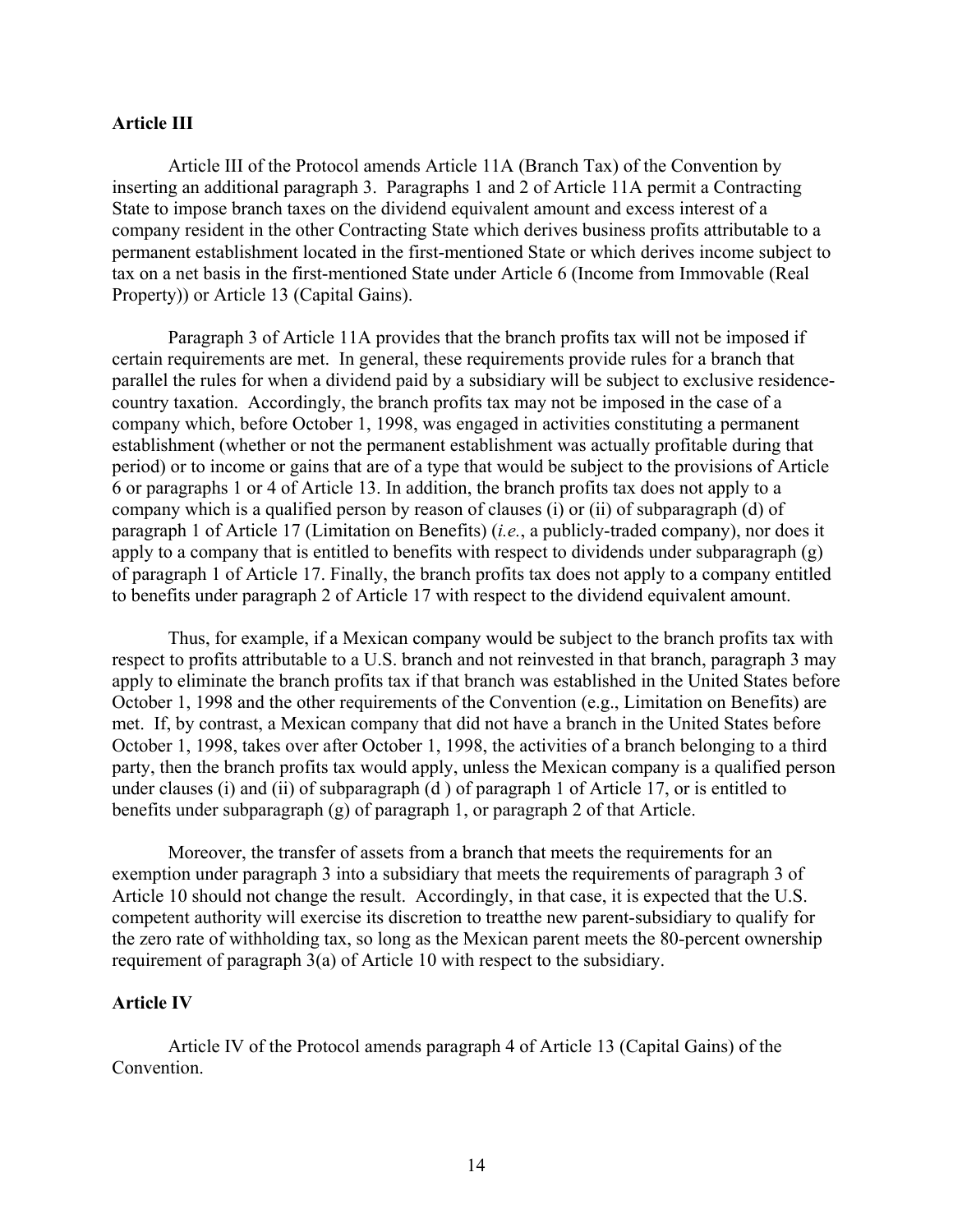## **Article III**

Article III of the Protocol amends Article 11A (Branch Tax) of the Convention by inserting an additional paragraph 3. Paragraphs 1 and 2 of Article 11A permit a Contracting State to impose branch taxes on the dividend equivalent amount and excess interest of a company resident in the other Contracting State which derives business profits attributable to a permanent establishment located in the first-mentioned State or which derives income subject to tax on a net basis in the first-mentioned State under Article 6 (Income from Immovable (Real Property)) or Article 13 (Capital Gains).

Paragraph 3 of Article 11A provides that the branch profits tax will not be imposed if certain requirements are met. In general, these requirements provide rules for a branch that parallel the rules for when a dividend paid by a subsidiary will be subject to exclusive residencecountry taxation. Accordingly, the branch profits tax may not be imposed in the case of a company which, before October 1, 1998, was engaged in activities constituting a permanent establishment (whether or not the permanent establishment was actually profitable during that period) or to income or gains that are of a type that would be subject to the provisions of Article 6 or paragraphs 1 or 4 of Article 13. In addition, the branch profits tax does not apply to a company which is a qualified person by reason of clauses (i) or (ii) of subparagraph (d) of paragraph 1 of Article 17 (Limitation on Benefits) (*i.e.*, a publicly-traded company), nor does it apply to a company that is entitled to benefits with respect to dividends under subparagraph (g) of paragraph 1 of Article 17. Finally, the branch profits tax does not apply to a company entitled to benefits under paragraph 2 of Article 17 with respect to the dividend equivalent amount.

Thus, for example, if a Mexican company would be subject to the branch profits tax with respect to profits attributable to a U.S. branch and not reinvested in that branch, paragraph 3 may apply to eliminate the branch profits tax if that branch was established in the United States before October 1, 1998 and the other requirements of the Convention (e.g., Limitation on Benefits) are met. If, by contrast, a Mexican company that did not have a branch in the United States before October 1, 1998, takes over after October 1, 1998, the activities of a branch belonging to a third party, then the branch profits tax would apply, unless the Mexican company is a qualified person under clauses (i) and (ii) of subparagraph (d ) of paragraph 1 of Article 17, or is entitled to benefits under subparagraph (g) of paragraph 1, or paragraph 2 of that Article.

Moreover, the transfer of assets from a branch that meets the requirements for an exemption under paragraph 3 into a subsidiary that meets the requirements of paragraph 3 of Article 10 should not change the result. Accordingly, in that case, it is expected that the U.S. competent authority will exercise its discretion to treatthe new parent-subsidiary to qualify for the zero rate of withholding tax, so long as the Mexican parent meets the 80-percent ownership requirement of paragraph 3(a) of Article 10 with respect to the subsidiary.

#### **Article IV**

Article IV of the Protocol amends paragraph 4 of Article 13 (Capital Gains) of the Convention.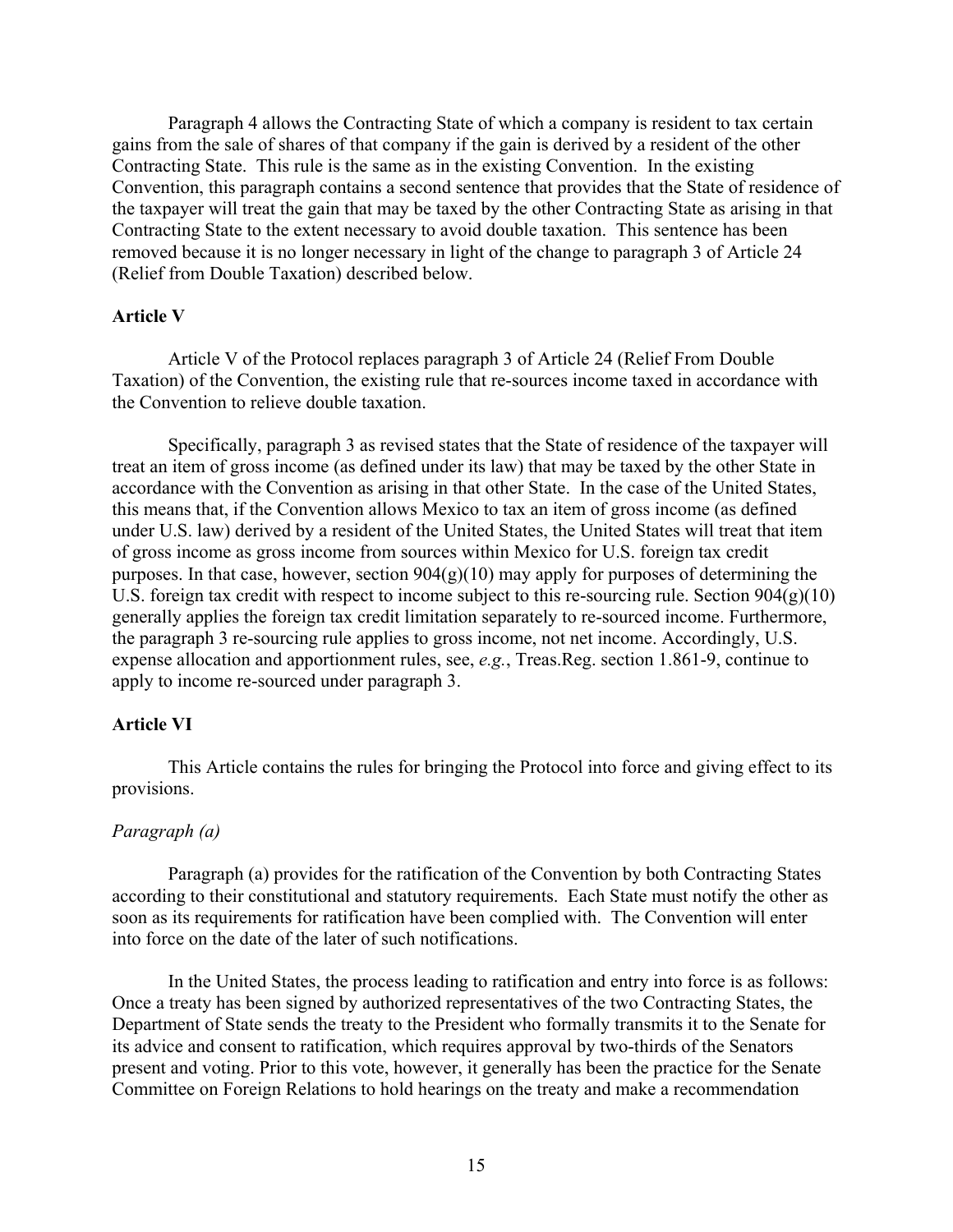Paragraph 4 allows the Contracting State of which a company is resident to tax certain gains from the sale of shares of that company if the gain is derived by a resident of the other Contracting State. This rule is the same as in the existing Convention. In the existing Convention, this paragraph contains a second sentence that provides that the State of residence of the taxpayer will treat the gain that may be taxed by the other Contracting State as arising in that Contracting State to the extent necessary to avoid double taxation. This sentence has been removed because it is no longer necessary in light of the change to paragraph 3 of Article 24 (Relief from Double Taxation) described below.

# **Article V**

Article V of the Protocol replaces paragraph 3 of Article 24 (Relief From Double Taxation) of the Convention, the existing rule that re-sources income taxed in accordance with the Convention to relieve double taxation.

Specifically, paragraph 3 as revised states that the State of residence of the taxpayer will treat an item of gross income (as defined under its law) that may be taxed by the other State in accordance with the Convention as arising in that other State. In the case of the United States, this means that, if the Convention allows Mexico to tax an item of gross income (as defined under U.S. law) derived by a resident of the United States, the United States will treat that item of gross income as gross income from sources within Mexico for U.S. foreign tax credit purposes. In that case, however, section  $904(g)(10)$  may apply for purposes of determining the U.S. foreign tax credit with respect to income subject to this re-sourcing rule. Section 904(g)(10) generally applies the foreign tax credit limitation separately to re-sourced income. Furthermore, the paragraph 3 re-sourcing rule applies to gross income, not net income. Accordingly, U.S. expense allocation and apportionment rules, see, *e.g.*, Treas.Reg. section 1.861-9, continue to apply to income re-sourced under paragraph 3.

## **Article VI**

This Article contains the rules for bringing the Protocol into force and giving effect to its provisions.

# *Paragraph (a)*

Paragraph (a) provides for the ratification of the Convention by both Contracting States according to their constitutional and statutory requirements. Each State must notify the other as soon as its requirements for ratification have been complied with. The Convention will enter into force on the date of the later of such notifications.

In the United States, the process leading to ratification and entry into force is as follows: Once a treaty has been signed by authorized representatives of the two Contracting States, the Department of State sends the treaty to the President who formally transmits it to the Senate for its advice and consent to ratification, which requires approval by two-thirds of the Senators present and voting. Prior to this vote, however, it generally has been the practice for the Senate Committee on Foreign Relations to hold hearings on the treaty and make a recommendation